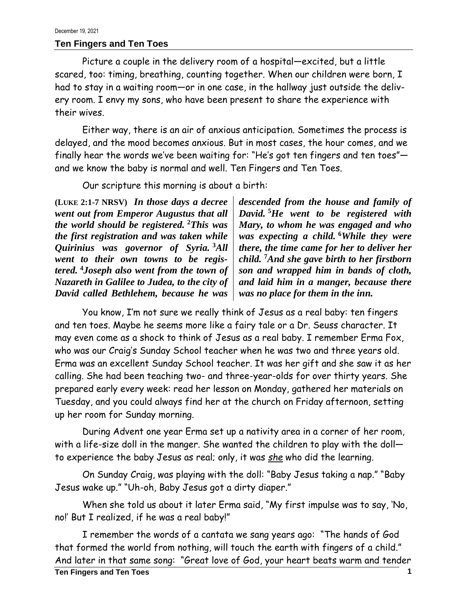## **Ten Fingers and Ten Toes**

Picture a couple in the delivery room of a hospital—excited, but a little scared, too: timing, breathing, counting together. When our children were born, I had to stay in a waiting room—or in one case, in the hallway just outside the delivery room. I envy my sons, who have been present to share the experience with their wives.

Either way, there is an air of anxious anticipation. Sometimes the process is delayed, and the mood becomes anxious. But in most cases, the hour comes, and we finally hear the words we've been waiting for: "He's got ten fingers and ten toes" and we know the baby is normal and well. Ten Fingers and Ten Toes.

Our scripture this morning is about a birth:

**(LUKE 2:1-7 NRSV)** *In those days a decree went out from Emperor Augustus that all the world should be registered.* **<sup>2</sup>***This was the first registration and was taken while Quirinius was governor of Syria.* **<sup>3</sup>***All went to their own towns to be registered.* **<sup>4</sup>***Joseph also went from the town of Nazareth in Galilee to Judea, to the city of David called Bethlehem, because he was*

*descended from the house and family of David.* **<sup>5</sup>***He went to be registered with Mary, to whom he was engaged and who was expecting a child.* **<sup>6</sup>***While they were there, the time came for her to deliver her child.* **<sup>7</sup>***And she gave birth to her firstborn son and wrapped him in bands of cloth, and laid him in a manger, because there was no place for them in the inn.*

You know, I'm not sure we really think of Jesus as a real baby: ten fingers and ten toes. Maybe he seems more like a fairy tale or a Dr. Seuss character. It may even come as a shock to think of Jesus as a real baby. I remember Erma Fox, who was our Craig's Sunday School teacher when he was two and three years old. Erma was an excellent Sunday School teacher. It was her gift and she saw it as her calling. She had been teaching two- and three-year-olds for over thirty years. She prepared early every week: read her lesson on Monday, gathered her materials on Tuesday, and you could always find her at the church on Friday afternoon, setting up her room for Sunday morning.

During Advent one year Erma set up a nativity area in a corner of her room, with a life-size doll in the manger. She wanted the children to play with the doll to experience the baby Jesus as real; only, it was *she* who did the learning.

On Sunday Craig, was playing with the doll: "Baby Jesus taking a nap." "Baby Jesus wake up." "Uh-oh, Baby Jesus got a dirty diaper."

When she told us about it later Erma said, "My first impulse was to say, 'No, no!' But I realized, if he was a real baby!"

I remember the words of a cantata we sang years ago: "The hands of God that formed the world from nothing, will touch the earth with fingers of a child." And later in that same song: "Great love of God, your heart beats warm and tender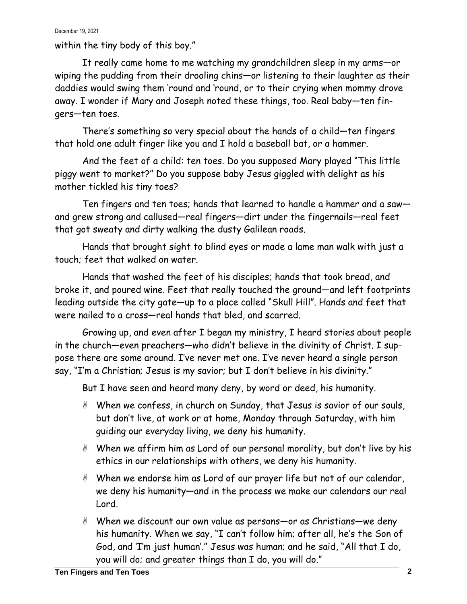## December 19, 2021

within the tiny body of this boy."

It really came home to me watching my grandchildren sleep in my arms—or wiping the pudding from their drooling chins—or listening to their laughter as their daddies would swing them 'round and 'round, or to their crying when mommy drove away. I wonder if Mary and Joseph noted these things, too. Real baby—ten fingers—ten toes.

There's something so very special about the hands of a child—ten fingers that hold one adult finger like you and I hold a baseball bat, or a hammer.

And the feet of a child: ten toes. Do you supposed Mary played "This little piggy went to market?" Do you suppose baby Jesus giggled with delight as his mother tickled his tiny toes?

Ten fingers and ten toes; hands that learned to handle a hammer and a saw and grew strong and callused—real fingers—dirt under the fingernails—real feet that got sweaty and dirty walking the dusty Galilean roads.

Hands that brought sight to blind eyes or made a lame man walk with just a touch; feet that walked on water.

Hands that washed the feet of his disciples; hands that took bread, and broke it, and poured wine. Feet that really touched the ground—and left footprints leading outside the city gate—up to a place called "Skull Hill". Hands and feet that were nailed to a cross—real hands that bled, and scarred.

Growing up, and even after I began my ministry, I heard stories about people in the church—even preachers—who didn't believe in the divinity of Christ. I suppose there are some around. I've never met one. I've never heard a single person say, "I'm a Christian; Jesus is my savior; but I don't believe in his divinity."

But I have seen and heard many deny, by word or deed, his humanity.

- When we confess, in church on Sunday, that Jesus is savior of our souls, but don't live, at work or at home, Monday through Saturday, with him guiding our everyday living, we deny his humanity.
- When we affirm him as Lord of our personal morality, but don't live by his ethics in our relationships with others, we deny his humanity.
- When we endorse him as Lord of our prayer life but not of our calendar, we deny his humanity—and in the process we make our calendars our real Lord.
- When we discount our own value as persons—or as Christians—we deny his humanity. When we say, "I can't follow him; after all, he's the Son of God, and 'I'm just human'." Jesus was human; and he said, "All that I do, you will do; and greater things than I do, you will do."